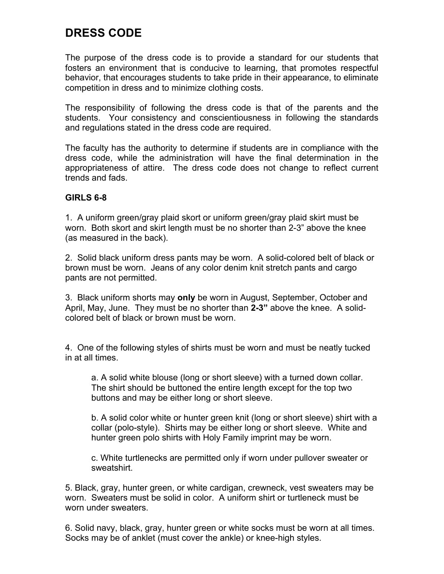# **DRESS CODE**

The purpose of the dress code is to provide a standard for our students that fosters an environment that is conducive to learning, that promotes respectful behavior, that encourages students to take pride in their appearance, to eliminate competition in dress and to minimize clothing costs.

The responsibility of following the dress code is that of the parents and the students. Your consistency and conscientiousness in following the standards and regulations stated in the dress code are required.

The faculty has the authority to determine if students are in compliance with the dress code, while the administration will have the final determination in the appropriateness of attire. The dress code does not change to reflect current trends and fads.

# **GIRLS 6-8**

1. A uniform green/gray plaid skort or uniform green/gray plaid skirt must be worn. Both skort and skirt length must be no shorter than 2-3" above the knee (as measured in the back).

2. Solid black uniform dress pants may be worn. A solid-colored belt of black or brown must be worn. Jeans of any color denim knit stretch pants and cargo pants are not permitted.

3. Black uniform shorts may **only** be worn in August, September, October and April, May, June. They must be no shorter than **2-3"** above the knee. A solidcolored belt of black or brown must be worn.

4. One of the following styles of shirts must be worn and must be neatly tucked in at all times.

a. A solid white blouse (long or short sleeve) with a turned down collar. The shirt should be buttoned the entire length except for the top two buttons and may be either long or short sleeve.

b. A solid color white or hunter green knit (long or short sleeve) shirt with a collar (polo-style). Shirts may be either long or short sleeve. White and hunter green polo shirts with Holy Family imprint may be worn.

c. White turtlenecks are permitted only if worn under pullover sweater or sweatshirt.

5. Black, gray, hunter green, or white cardigan, crewneck, vest sweaters may be worn. Sweaters must be solid in color. A uniform shirt or turtleneck must be worn under sweaters.

6. Solid navy, black, gray, hunter green or white socks must be worn at all times. Socks may be of anklet (must cover the ankle) or knee-high styles.